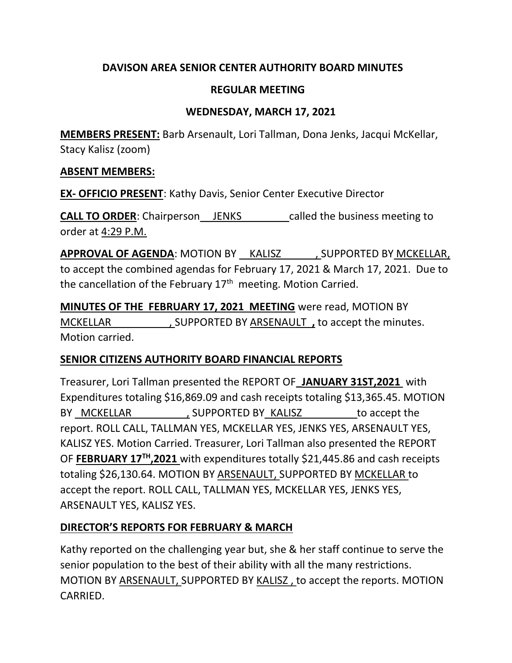# DAVISON AREA SENIOR CENTER AUTHORITY BOARD MINUTES

## REGULAR MEETING

## WEDNESDAY, MARCH 17, 2021

MEMBERS PRESENT: Barb Arsenault, Lori Tallman, Dona Jenks, Jacqui McKellar, Stacy Kalisz (zoom)

### ABSENT MEMBERS:

EX- OFFICIO PRESENT: Kathy Davis, Senior Center Executive Director

**CALL TO ORDER:** Chairperson JENKS called the business meeting to order at 4:29 P.M.

APPROVAL OF AGENDA: MOTION BY KALISZ , SUPPORTED BY MCKELLAR, to accept the combined agendas for February 17, 2021 & March 17, 2021. Due to the cancellation of the February  $17<sup>th</sup>$  meeting. Motion Carried.

MINUTES OF THE FEBRUARY 17, 2021 MEETING were read, MOTION BY MCKELLAR , SUPPORTED BY ARSENAULT , to accept the minutes. Motion carried.

## SENIOR CITIZENS AUTHORITY BOARD FINANCIAL REPORTS

Treasurer, Lori Tallman presented the REPORT OF\_JANUARY 31ST,2021 with Expenditures totaling \$16,869.09 and cash receipts totaling \$13,365.45. MOTION BY MCKELLAR GUPPORTED BY KALISZ to accept the report. ROLL CALL, TALLMAN YES, MCKELLAR YES, JENKS YES, ARSENAULT YES, KALISZ YES. Motion Carried. Treasurer, Lori Tallman also presented the REPORT OF FEBRUARY 17<sup>TH</sup>, 2021 with expenditures totally \$21,445.86 and cash receipts totaling \$26,130.64. MOTION BY ARSENAULT, SUPPORTED BY MCKELLAR to accept the report. ROLL CALL, TALLMAN YES, MCKELLAR YES, JENKS YES, ARSENAULT YES, KALISZ YES.

# DIRECTOR'S REPORTS FOR FEBRUARY & MARCH

Kathy reported on the challenging year but, she & her staff continue to serve the senior population to the best of their ability with all the many restrictions. MOTION BY ARSENAULT, SUPPORTED BY KALISZ , to accept the reports. MOTION CARRIED.